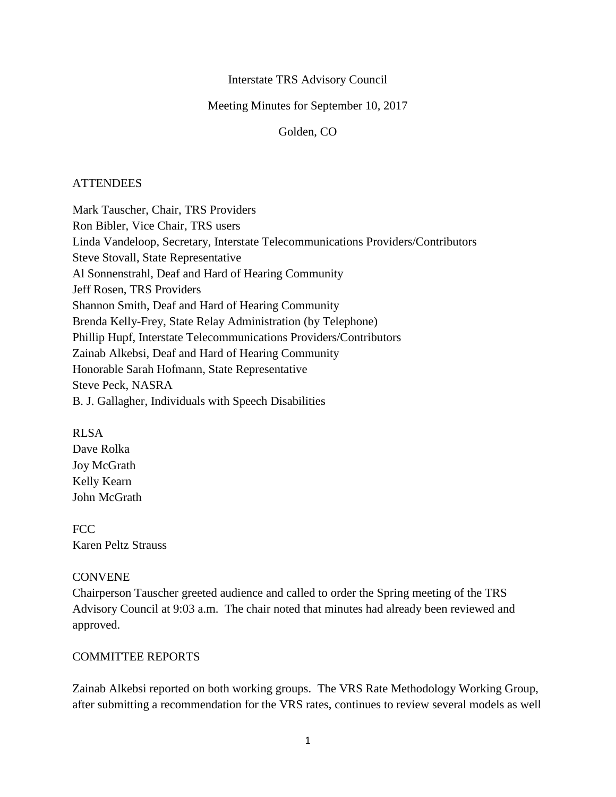### Interstate TRS Advisory Council

### Meeting Minutes for September 10, 2017

#### Golden, CO

### **ATTENDEES**

Mark Tauscher, Chair, TRS Providers Ron Bibler, Vice Chair, TRS users Linda Vandeloop, Secretary, Interstate Telecommunications Providers/Contributors Steve Stovall, State Representative Al Sonnenstrahl, Deaf and Hard of Hearing Community Jeff Rosen, TRS Providers Shannon Smith, Deaf and Hard of Hearing Community Brenda Kelly-Frey, State Relay Administration (by Telephone) Phillip Hupf, Interstate Telecommunications Providers/Contributors Zainab Alkebsi, Deaf and Hard of Hearing Community Honorable Sarah Hofmann, State Representative Steve Peck, NASRA B. J. Gallagher, Individuals with Speech Disabilities

### RLSA

Dave Rolka Joy McGrath Kelly Kearn John McGrath

FCC Karen Peltz Strauss

#### **CONVENE**

Chairperson Tauscher greeted audience and called to order the Spring meeting of the TRS Advisory Council at 9:03 a.m. The chair noted that minutes had already been reviewed and approved.

## COMMITTEE REPORTS

Zainab Alkebsi reported on both working groups. The VRS Rate Methodology Working Group, after submitting a recommendation for the VRS rates, continues to review several models as well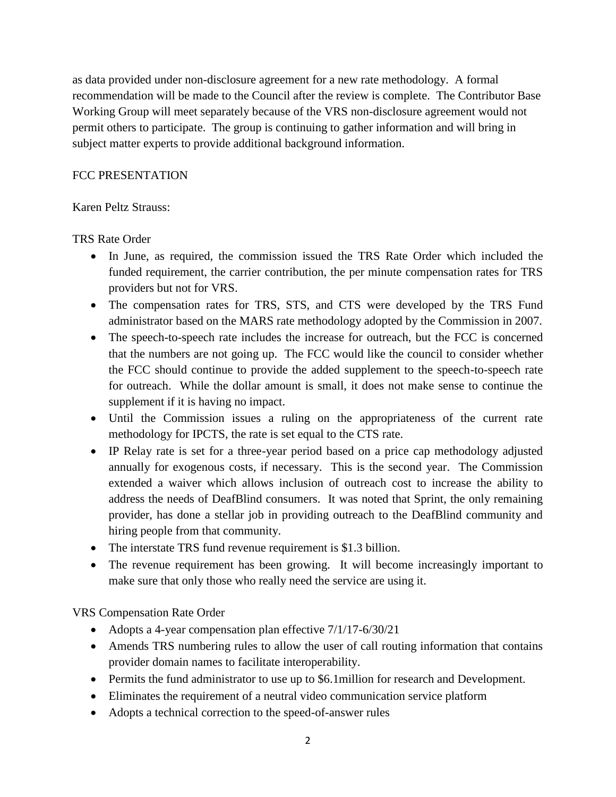as data provided under non-disclosure agreement for a new rate methodology. A formal recommendation will be made to the Council after the review is complete. The Contributor Base Working Group will meet separately because of the VRS non-disclosure agreement would not permit others to participate. The group is continuing to gather information and will bring in subject matter experts to provide additional background information.

## FCC PRESENTATION

## Karen Peltz Strauss:

# TRS Rate Order

- In June, as required, the commission issued the TRS Rate Order which included the funded requirement, the carrier contribution, the per minute compensation rates for TRS providers but not for VRS.
- The compensation rates for TRS, STS, and CTS were developed by the TRS Fund administrator based on the MARS rate methodology adopted by the Commission in 2007.
- The speech-to-speech rate includes the increase for outreach, but the FCC is concerned that the numbers are not going up. The FCC would like the council to consider whether the FCC should continue to provide the added supplement to the speech-to-speech rate for outreach. While the dollar amount is small, it does not make sense to continue the supplement if it is having no impact.
- Until the Commission issues a ruling on the appropriateness of the current rate methodology for IPCTS, the rate is set equal to the CTS rate.
- IP Relay rate is set for a three-year period based on a price cap methodology adjusted annually for exogenous costs, if necessary. This is the second year. The Commission extended a waiver which allows inclusion of outreach cost to increase the ability to address the needs of DeafBlind consumers. It was noted that Sprint, the only remaining provider, has done a stellar job in providing outreach to the DeafBlind community and hiring people from that community.
- The interstate TRS fund revenue requirement is \$1.3 billion.
- The revenue requirement has been growing. It will become increasingly important to make sure that only those who really need the service are using it.

VRS Compensation Rate Order

- Adopts a 4-year compensation plan effective  $7/1/17-6/30/21$
- Amends TRS numbering rules to allow the user of call routing information that contains provider domain names to facilitate interoperability.
- Permits the fund administrator to use up to \$6.1 million for research and Development.
- Eliminates the requirement of a neutral video communication service platform
- Adopts a technical correction to the speed-of-answer rules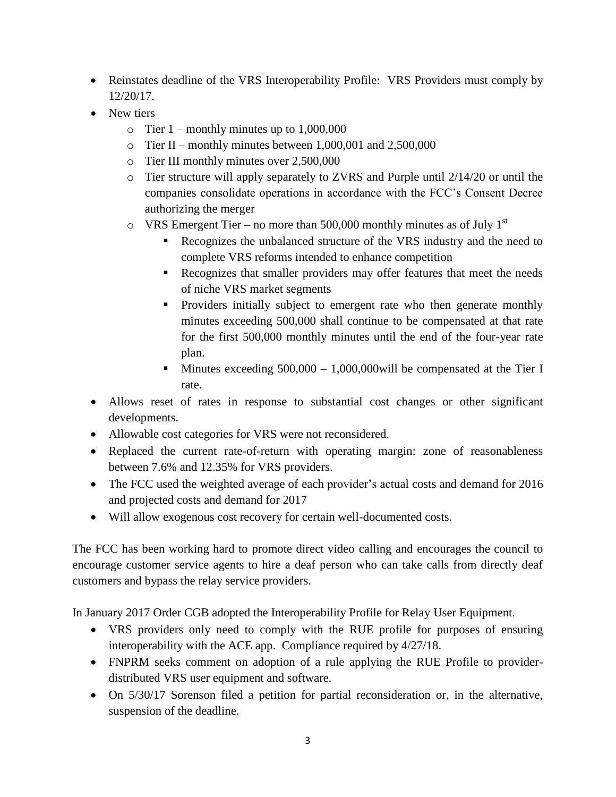- Reinstates deadline of the VRS Interoperability Profile: VRS Providers must comply by 12/20/17.
- New tiers
	- $\circ$  Tier 1 monthly minutes up to 1,000,000
	- o Tier II monthly minutes between 1,000,001 and 2,500,000
	- o Tier III monthly minutes over 2,500,000
	- o Tier structure will apply separately to ZVRS and Purple until 2/14/20 or until the companies consolidate operations in accordance with the FCC's Consent Decree authorizing the merger
	- $\circ$  VRS Emergent Tier no more than 500,000 monthly minutes as of July 1<sup>st</sup>
		- Recognizes the unbalanced structure of the VRS industry and the need to complete VRS reforms intended to enhance competition
		- Recognizes that smaller providers may offer features that meet the needs of niche VRS market segments
		- Providers initially subject to emergent rate who then generate monthly minutes exceeding 500,000 shall continue to be compensated at that rate for the first 500,000 monthly minutes until the end of the four-year rate plan.
		- **Minutes exceeding**  $500,000 1,000,000$  **will be compensated at the Tier I** rate.
- Allows reset of rates in response to substantial cost changes or other significant developments.
- Allowable cost categories for VRS were not reconsidered.
- Replaced the current rate-of-return with operating margin: zone of reasonableness between 7.6% and 12.35% for VRS providers.
- The FCC used the weighted average of each provider's actual costs and demand for 2016 and projected costs and demand for 2017
- Will allow exogenous cost recovery for certain well-documented costs.

The FCC has been working hard to promote direct video calling and encourages the council to encourage customer service agents to hire a deaf person who can take calls from directly deaf customers and bypass the relay service providers.

In January 2017 Order CGB adopted the Interoperability Profile for Relay User Equipment.

- VRS providers only need to comply with the RUE profile for purposes of ensuring interoperability with the ACE app. Compliance required by 4/27/18.
- FNPRM seeks comment on adoption of a rule applying the RUE Profile to providerdistributed VRS user equipment and software.
- On 5/30/17 Sorenson filed a petition for partial reconsideration or, in the alternative, suspension of the deadline.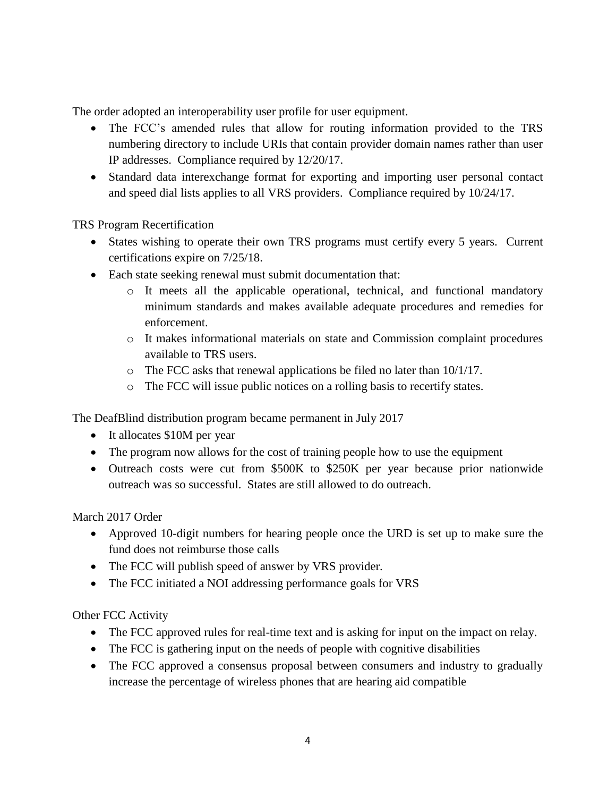The order adopted an interoperability user profile for user equipment.

- The FCC's amended rules that allow for routing information provided to the TRS numbering directory to include URIs that contain provider domain names rather than user IP addresses. Compliance required by 12/20/17.
- Standard data interexchange format for exporting and importing user personal contact and speed dial lists applies to all VRS providers. Compliance required by 10/24/17.

TRS Program Recertification

- States wishing to operate their own TRS programs must certify every 5 years. Current certifications expire on 7/25/18.
- Each state seeking renewal must submit documentation that:
	- o It meets all the applicable operational, technical, and functional mandatory minimum standards and makes available adequate procedures and remedies for enforcement.
	- o It makes informational materials on state and Commission complaint procedures available to TRS users.
	- o The FCC asks that renewal applications be filed no later than 10/1/17.
	- o The FCC will issue public notices on a rolling basis to recertify states.

The DeafBlind distribution program became permanent in July 2017

- It allocates \$10M per year
- The program now allows for the cost of training people how to use the equipment
- Outreach costs were cut from \$500K to \$250K per year because prior nationwide outreach was so successful. States are still allowed to do outreach.

March 2017 Order

- Approved 10-digit numbers for hearing people once the URD is set up to make sure the fund does not reimburse those calls
- The FCC will publish speed of answer by VRS provider.
- The FCC initiated a NOI addressing performance goals for VRS

Other FCC Activity

- The FCC approved rules for real-time text and is asking for input on the impact on relay.
- The FCC is gathering input on the needs of people with cognitive disabilities
- The FCC approved a consensus proposal between consumers and industry to gradually increase the percentage of wireless phones that are hearing aid compatible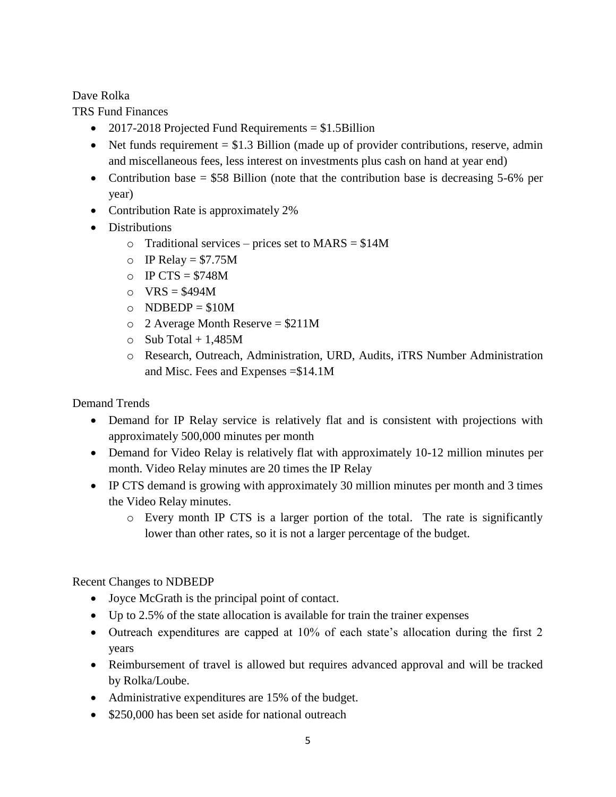Dave Rolka

TRS Fund Finances

- 2017-2018 Projected Fund Requirements  $= $1.5 \text{Billion}$
- $\bullet$  Net funds requirement = \$1.3 Billion (made up of provider contributions, reserve, admin and miscellaneous fees, less interest on investments plus cash on hand at year end)
- Contribution base  $= $58$  Billion (note that the contribution base is decreasing 5-6% per year)
- Contribution Rate is approximately 2%
- Distributions
	- $\circ$  Traditional services prices set to MARS = \$14M
	- $\circ$  IP Relay = \$7.75M
	- $O$  IP CTS = \$748M
	- $\circ$  VRS = \$494M
	- $O$  NDBEDP = \$10M
	- $\degree$  2 Average Month Reserve = \$211M
	- $\circ$  Sub Total + 1.485M
	- o Research, Outreach, Administration, URD, Audits, iTRS Number Administration and Misc. Fees and Expenses =\$14.1M

Demand Trends

- Demand for IP Relay service is relatively flat and is consistent with projections with approximately 500,000 minutes per month
- Demand for Video Relay is relatively flat with approximately 10-12 million minutes per month. Video Relay minutes are 20 times the IP Relay
- IP CTS demand is growing with approximately 30 million minutes per month and 3 times the Video Relay minutes.
	- o Every month IP CTS is a larger portion of the total. The rate is significantly lower than other rates, so it is not a larger percentage of the budget.

# Recent Changes to NDBEDP

- Joyce McGrath is the principal point of contact.
- Up to 2.5% of the state allocation is available for train the trainer expenses
- Outreach expenditures are capped at 10% of each state's allocation during the first 2 years
- Reimbursement of travel is allowed but requires advanced approval and will be tracked by Rolka/Loube.
- Administrative expenditures are 15% of the budget.
- \$250,000 has been set aside for national outreach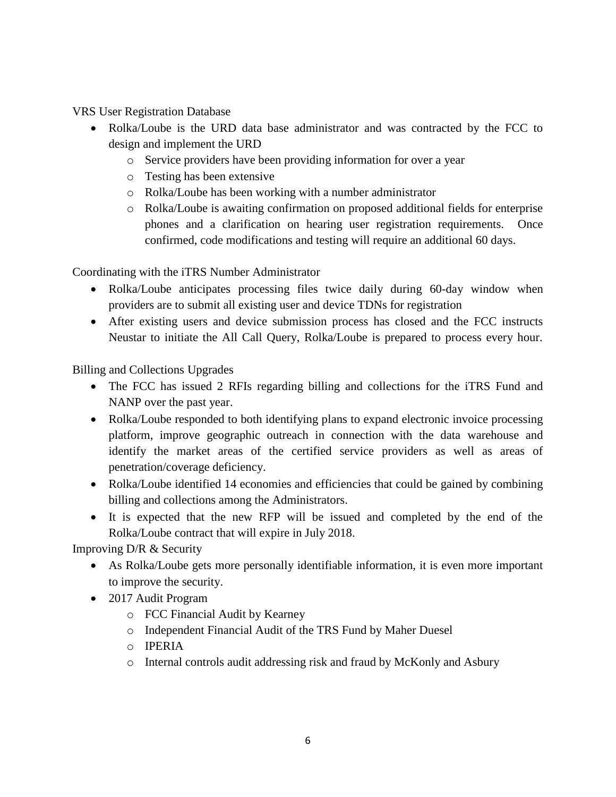VRS User Registration Database

- Rolka/Loube is the URD data base administrator and was contracted by the FCC to design and implement the URD
	- o Service providers have been providing information for over a year
	- o Testing has been extensive
	- o Rolka/Loube has been working with a number administrator
	- o Rolka/Loube is awaiting confirmation on proposed additional fields for enterprise phones and a clarification on hearing user registration requirements. Once confirmed, code modifications and testing will require an additional 60 days.

Coordinating with the iTRS Number Administrator

- Rolka/Loube anticipates processing files twice daily during 60-day window when providers are to submit all existing user and device TDNs for registration
- After existing users and device submission process has closed and the FCC instructs Neustar to initiate the All Call Query, Rolka/Loube is prepared to process every hour.

Billing and Collections Upgrades

- The FCC has issued 2 RFIs regarding billing and collections for the iTRS Fund and NANP over the past year.
- Rolka/Loube responded to both identifying plans to expand electronic invoice processing platform, improve geographic outreach in connection with the data warehouse and identify the market areas of the certified service providers as well as areas of penetration/coverage deficiency.
- Rolka/Loube identified 14 economies and efficiencies that could be gained by combining billing and collections among the Administrators.
- It is expected that the new RFP will be issued and completed by the end of the Rolka/Loube contract that will expire in July 2018.

Improving D/R & Security

- As Rolka/Loube gets more personally identifiable information, it is even more important to improve the security.
- 2017 Audit Program
	- o FCC Financial Audit by Kearney
	- o Independent Financial Audit of the TRS Fund by Maher Duesel
	- o IPERIA
	- o Internal controls audit addressing risk and fraud by McKonly and Asbury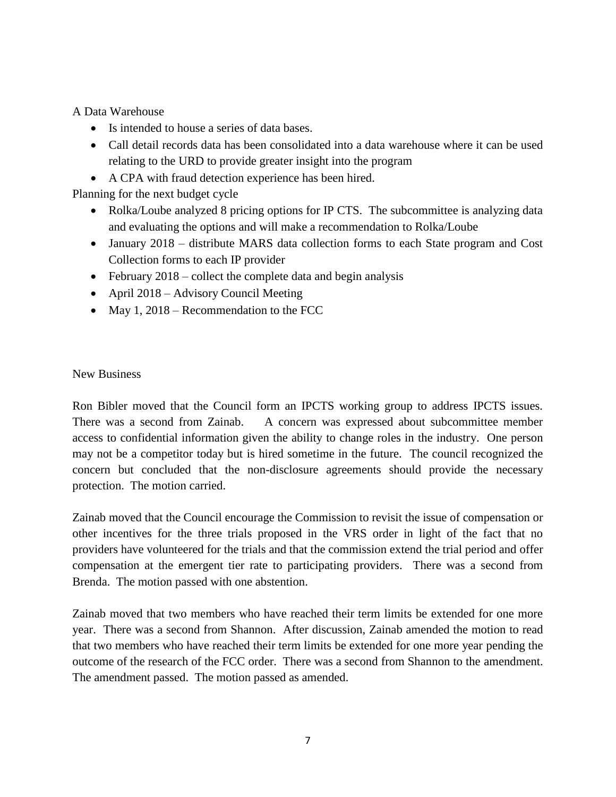A Data Warehouse

- Is intended to house a series of data bases.
- Call detail records data has been consolidated into a data warehouse where it can be used relating to the URD to provide greater insight into the program
- A CPA with fraud detection experience has been hired.

Planning for the next budget cycle

- Rolka/Loube analyzed 8 pricing options for IP CTS. The subcommittee is analyzing data and evaluating the options and will make a recommendation to Rolka/Loube
- January 2018 distribute MARS data collection forms to each State program and Cost Collection forms to each IP provider
- $\bullet$  February 2018 collect the complete data and begin analysis
- April 2018 Advisory Council Meeting
- May 1, 2018 Recommendation to the FCC

### New Business

Ron Bibler moved that the Council form an IPCTS working group to address IPCTS issues. There was a second from Zainab. A concern was expressed about subcommittee member access to confidential information given the ability to change roles in the industry. One person may not be a competitor today but is hired sometime in the future. The council recognized the concern but concluded that the non-disclosure agreements should provide the necessary protection. The motion carried.

Zainab moved that the Council encourage the Commission to revisit the issue of compensation or other incentives for the three trials proposed in the VRS order in light of the fact that no providers have volunteered for the trials and that the commission extend the trial period and offer compensation at the emergent tier rate to participating providers. There was a second from Brenda. The motion passed with one abstention.

Zainab moved that two members who have reached their term limits be extended for one more year. There was a second from Shannon. After discussion, Zainab amended the motion to read that two members who have reached their term limits be extended for one more year pending the outcome of the research of the FCC order. There was a second from Shannon to the amendment. The amendment passed. The motion passed as amended.